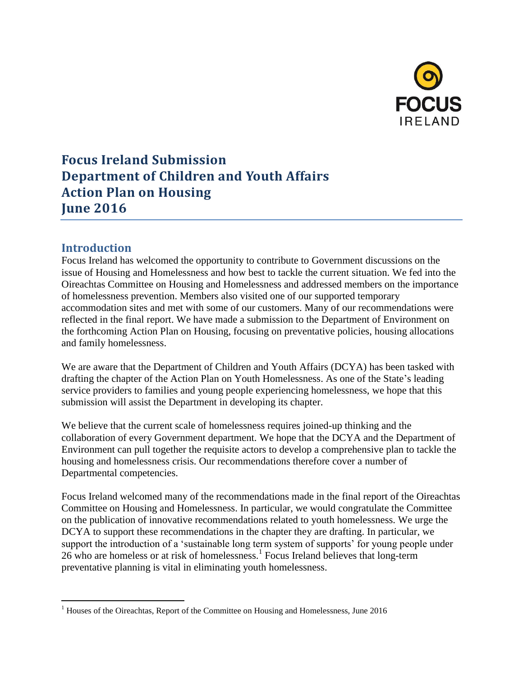

# **Focus Ireland Submission Department of Children and Youth Affairs Action Plan on Housing June 2016**

# **Introduction**

 $\overline{a}$ 

Focus Ireland has welcomed the opportunity to contribute to Government discussions on the issue of Housing and Homelessness and how best to tackle the current situation. We fed into the Oireachtas Committee on Housing and Homelessness and addressed members on the importance of homelessness prevention. Members also visited one of our supported temporary accommodation sites and met with some of our customers. Many of our recommendations were reflected in the final report. We have made a submission to the Department of Environment on the forthcoming Action Plan on Housing, focusing on preventative policies, housing allocations and family homelessness.

We are aware that the Department of Children and Youth Affairs (DCYA) has been tasked with drafting the chapter of the Action Plan on Youth Homelessness. As one of the State's leading service providers to families and young people experiencing homelessness, we hope that this submission will assist the Department in developing its chapter.

We believe that the current scale of homelessness requires joined-up thinking and the collaboration of every Government department. We hope that the DCYA and the Department of Environment can pull together the requisite actors to develop a comprehensive plan to tackle the housing and homelessness crisis. Our recommendations therefore cover a number of Departmental competencies.

Focus Ireland welcomed many of the recommendations made in the final report of the Oireachtas Committee on Housing and Homelessness. In particular, we would congratulate the Committee on the publication of innovative recommendations related to youth homelessness. We urge the DCYA to support these recommendations in the chapter they are drafting. In particular, we support the introduction of a 'sustainable long term system of supports' for young people under 26 who are homeless or at risk of homelessness.<sup>1</sup> Focus Ireland believes that long-term preventative planning is vital in eliminating youth homelessness.

 $<sup>1</sup>$  Houses of the Oireachtas, Report of the Committee on Housing and Homelessness, June 2016</sup>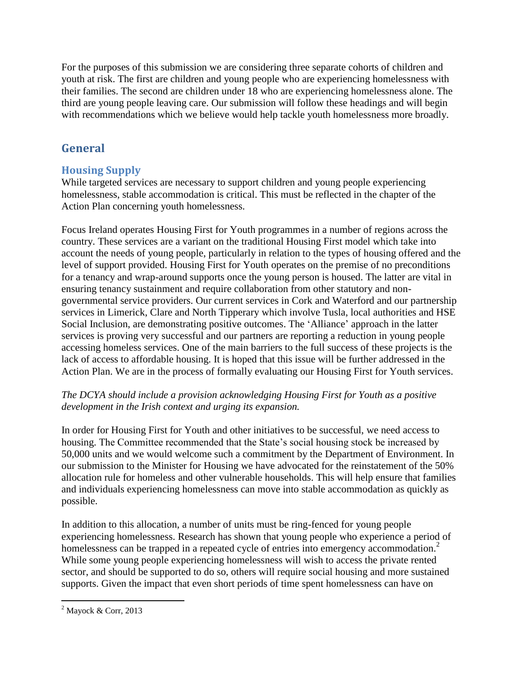For the purposes of this submission we are considering three separate cohorts of children and youth at risk. The first are children and young people who are experiencing homelessness with their families. The second are children under 18 who are experiencing homelessness alone. The third are young people leaving care. Our submission will follow these headings and will begin with recommendations which we believe would help tackle youth homelessness more broadly.

# **General**

# **Housing Supply**

While targeted services are necessary to support children and young people experiencing homelessness, stable accommodation is critical. This must be reflected in the chapter of the Action Plan concerning youth homelessness.

Focus Ireland operates Housing First for Youth programmes in a number of regions across the country. These services are a variant on the traditional Housing First model which take into account the needs of young people, particularly in relation to the types of housing offered and the level of support provided. Housing First for Youth operates on the premise of no preconditions for a tenancy and wrap-around supports once the young person is housed. The latter are vital in ensuring tenancy sustainment and require collaboration from other statutory and nongovernmental service providers. Our current services in Cork and Waterford and our partnership services in Limerick, Clare and North Tipperary which involve Tusla, local authorities and HSE Social Inclusion, are demonstrating positive outcomes. The 'Alliance' approach in the latter services is proving very successful and our partners are reporting a reduction in young people accessing homeless services. One of the main barriers to the full success of these projects is the lack of access to affordable housing. It is hoped that this issue will be further addressed in the Action Plan. We are in the process of formally evaluating our Housing First for Youth services.

### *The DCYA should include a provision acknowledging Housing First for Youth as a positive development in the Irish context and urging its expansion.*

In order for Housing First for Youth and other initiatives to be successful, we need access to housing. The Committee recommended that the State's social housing stock be increased by 50,000 units and we would welcome such a commitment by the Department of Environment. In our submission to the Minister for Housing we have advocated for the reinstatement of the 50% allocation rule for homeless and other vulnerable households. This will help ensure that families and individuals experiencing homelessness can move into stable accommodation as quickly as possible.

In addition to this allocation, a number of units must be ring-fenced for young people experiencing homelessness. Research has shown that young people who experience a period of homelessness can be trapped in a repeated cycle of entries into emergency accommodation.<sup>2</sup> While some young people experiencing homelessness will wish to access the private rented sector, and should be supported to do so, others will require social housing and more sustained supports. Given the impact that even short periods of time spent homelessness can have on

 $\overline{a}$  $2^{\circ}$  Mayock & Corr, 2013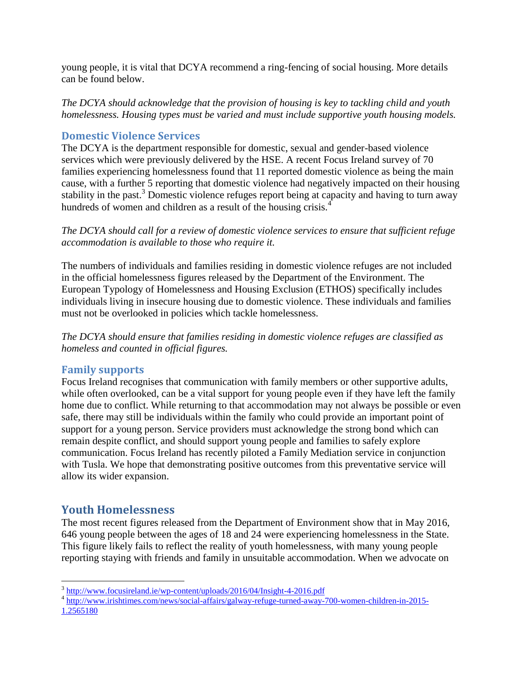young people, it is vital that DCYA recommend a ring-fencing of social housing. More details can be found below.

*The DCYA should acknowledge that the provision of housing is key to tackling child and youth homelessness. Housing types must be varied and must include supportive youth housing models.* 

### **Domestic Violence Services**

The DCYA is the department responsible for domestic, sexual and gender-based violence services which were previously delivered by the HSE. A recent Focus Ireland survey of 70 families experiencing homelessness found that 11 reported domestic violence as being the main cause, with a further 5 reporting that domestic violence had negatively impacted on their housing stability in the past.<sup>3</sup> Domestic violence refuges report being at capacity and having to turn away hundreds of women and children as a result of the housing crisis.<sup>4</sup>

*The DCYA should call for a review of domestic violence services to ensure that sufficient refuge accommodation is available to those who require it.*

The numbers of individuals and families residing in domestic violence refuges are not included in the official homelessness figures released by the Department of the Environment. The European Typology of Homelessness and Housing Exclusion (ETHOS) specifically includes individuals living in insecure housing due to domestic violence. These individuals and families must not be overlooked in policies which tackle homelessness.

*The DCYA should ensure that families residing in domestic violence refuges are classified as homeless and counted in official figures.* 

#### **Family supports**

Focus Ireland recognises that communication with family members or other supportive adults, while often overlooked, can be a vital support for young people even if they have left the family home due to conflict. While returning to that accommodation may not always be possible or even safe, there may still be individuals within the family who could provide an important point of support for a young person. Service providers must acknowledge the strong bond which can remain despite conflict, and should support young people and families to safely explore communication. Focus Ireland has recently piloted a Family Mediation service in conjunction with Tusla. We hope that demonstrating positive outcomes from this preventative service will allow its wider expansion.

## **Youth Homelessness**

 $\overline{a}$ 

The most recent figures released from the Department of Environment show that in May 2016, 646 young people between the ages of 18 and 24 were experiencing homelessness in the State. This figure likely fails to reflect the reality of youth homelessness, with many young people reporting staying with friends and family in unsuitable accommodation. When we advocate on

<sup>&</sup>lt;sup>3</sup> <http://www.focusireland.ie/wp-content/uploads/2016/04/Insight-4-2016.pdf>

<sup>&</sup>lt;sup>4</sup> [http://www.irishtimes.com/news/social-affairs/galway-refuge-turned-away-700-women-children-in-2015-](http://www.irishtimes.com/news/social-affairs/galway-refuge-turned-away-700-women-children-in-2015-1.2565180) [1.2565180](http://www.irishtimes.com/news/social-affairs/galway-refuge-turned-away-700-women-children-in-2015-1.2565180)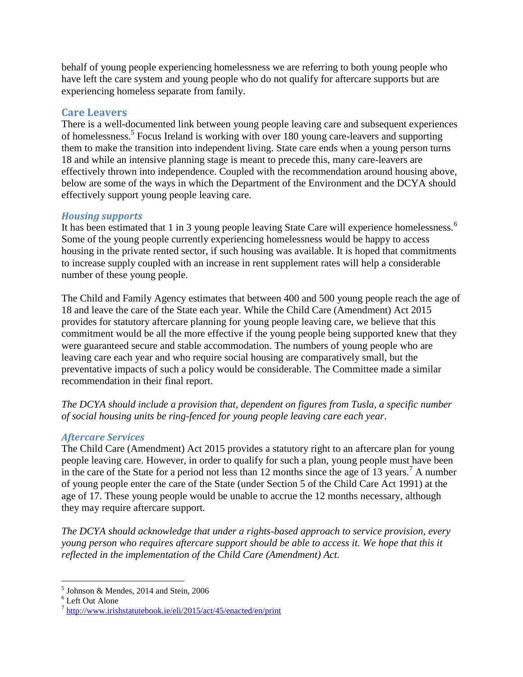behalf of young people experiencing homelessness we are referring to both young people who have left the care system and young people who do not qualify for aftercare supports but are experiencing homeless separate from family.

#### **Care Leavers**

There is a well-documented link between young people leaving care and subsequent experiences of homelessness.<sup>5</sup> Focus Ireland is working with over 180 young care-leavers and supporting them to make the transition into independent living. State care ends when a young person turns 18 and while an intensive planning stage is meant to precede this, many care-leavers are effectively thrown into independence. Coupled with the recommendation around housing above, below are some of the ways in which the Department of the Environment and the DCYA should effectively support young people leaving care.

#### *Housing supports*

It has been estimated that 1 in 3 young people leaving State Care will experience homelessness.<sup>6</sup> Some of the young people currently experiencing homelessness would be happy to access housing in the private rented sector, if such housing was available. It is hoped that commitments to increase supply coupled with an increase in rent supplement rates will help a considerable number of these young people.

The Child and Family Agency estimates that between 400 and 500 young people reach the age of 18 and leave the care of the State each year. While the Child Care (Amendment) Act 2015 provides for statutory aftercare planning for young people leaving care, we believe that this commitment would be all the more effective if the young people being supported knew that they were guaranteed secure and stable accommodation. The numbers of young people who are leaving care each year and who require social housing are comparatively small, but the preventative impacts of such a policy would be considerable. The Committee made a similar recommendation in their final report.

*The DCYA should include a provision that, dependent on figures from Tusla, a specific number of social housing units be ring-fenced for young people leaving care each year*.

#### *Aftercare Services*

The Child Care (Amendment) Act 2015 provides a statutory right to an aftercare plan for young people leaving care. However, in order to qualify for such a plan, young people must have been in the care of the State for a period not less than 12 months since the age of 13 years.<sup>7</sup> A number of young people enter the care of the State (under Section 5 of the Child Care Act 1991) at the age of 17. These young people would be unable to accrue the 12 months necessary, although they may require aftercare support.

*The DCYA should acknowledge that under a rights-based approach to service provision, every young person who requires aftercare support should be able to access it. We hope that this it reflected in the implementation of the Child Care (Amendment) Act.* 

 $\overline{a}$ 

<sup>5</sup> Johnson & Mendes, 2014 and Stein, 2006

<sup>6</sup> Left Out Alone

<sup>&</sup>lt;sup>7</sup> <http://www.irishstatutebook.ie/eli/2015/act/45/enacted/en/print>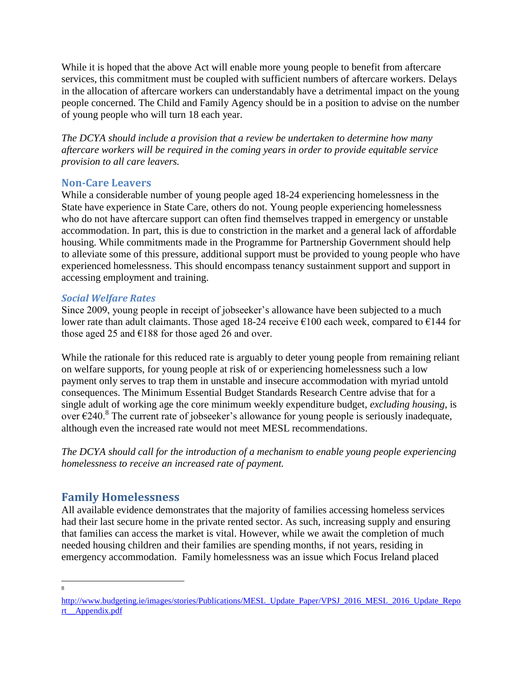While it is hoped that the above Act will enable more young people to benefit from aftercare services, this commitment must be coupled with sufficient numbers of aftercare workers. Delays in the allocation of aftercare workers can understandably have a detrimental impact on the young people concerned. The Child and Family Agency should be in a position to advise on the number of young people who will turn 18 each year.

*The DCYA should include a provision that a review be undertaken to determine how many aftercare workers will be required in the coming years in order to provide equitable service provision to all care leavers.* 

### **Non-Care Leavers**

While a considerable number of young people aged 18-24 experiencing homelessness in the State have experience in State Care, others do not. Young people experiencing homelessness who do not have aftercare support can often find themselves trapped in emergency or unstable accommodation. In part, this is due to constriction in the market and a general lack of affordable housing. While commitments made in the Programme for Partnership Government should help to alleviate some of this pressure, additional support must be provided to young people who have experienced homelessness. This should encompass tenancy sustainment support and support in accessing employment and training.

### *Social Welfare Rates*

Since 2009, young people in receipt of jobseeker's allowance have been subjected to a much lower rate than adult claimants. Those aged 18-24 receive  $\epsilon$ 100 each week, compared to  $\epsilon$ 144 for those aged 25 and  $\epsilon$ 188 for those aged 26 and over.

While the rationale for this reduced rate is arguably to deter young people from remaining reliant on welfare supports, for young people at risk of or experiencing homelessness such a low payment only serves to trap them in unstable and insecure accommodation with myriad untold consequences. The Minimum Essential Budget Standards Research Centre advise that for a single adult of working age the core minimum weekly expenditure budget, *excluding housing*, is over €240.<sup>8</sup> The current rate of jobseeker's allowance for young people is seriously inadequate, although even the increased rate would not meet MESL recommendations.

*The DCYA should call for the introduction of a mechanism to enable young people experiencing homelessness to receive an increased rate of payment.* 

# **Family Homelessness**

All available evidence demonstrates that the majority of families accessing homeless services had their last secure home in the private rented sector. As such, increasing supply and ensuring that families can access the market is vital. However, while we await the completion of much needed housing children and their families are spending months, if not years, residing in emergency accommodation. Family homelessness was an issue which Focus Ireland placed

8

http://www.budgeting.je/images/stories/Publications/MESL\_Update\_Paper/VPSJ\_2016\_MESL\_2016\_Update\_Repo [rt\\_\\_Appendix.pdf](http://www.budgeting.ie/images/stories/Publications/MESL_Update_Paper/VPSJ_2016_MESL_2016_Update_Report__Appendix.pdf)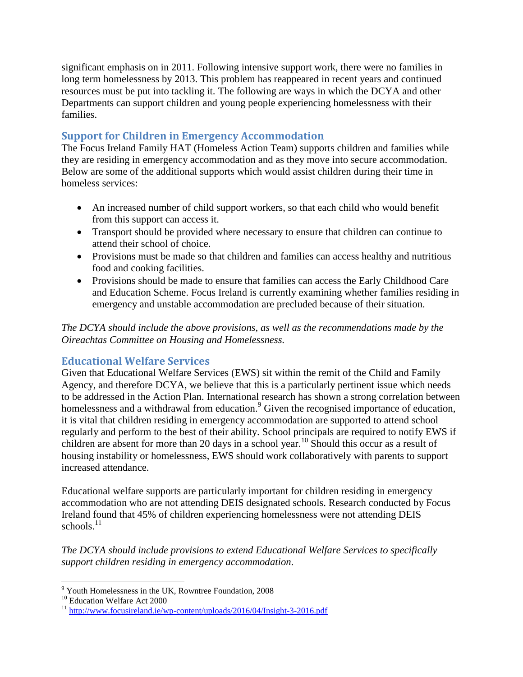significant emphasis on in 2011. Following intensive support work, there were no families in long term homelessness by 2013. This problem has reappeared in recent years and continued resources must be put into tackling it. The following are ways in which the DCYA and other Departments can support children and young people experiencing homelessness with their families.

# **Support for Children in Emergency Accommodation**

The Focus Ireland Family HAT (Homeless Action Team) supports children and families while they are residing in emergency accommodation and as they move into secure accommodation. Below are some of the additional supports which would assist children during their time in homeless services:

- An increased number of child support workers, so that each child who would benefit from this support can access it.
- Transport should be provided where necessary to ensure that children can continue to attend their school of choice.
- Provisions must be made so that children and families can access healthy and nutritious food and cooking facilities.
- Provisions should be made to ensure that families can access the Early Childhood Care and Education Scheme. Focus Ireland is currently examining whether families residing in emergency and unstable accommodation are precluded because of their situation.

*The DCYA should include the above provisions, as well as the recommendations made by the Oireachtas Committee on Housing and Homelessness.* 

## **Educational Welfare Services**

Given that Educational Welfare Services (EWS) sit within the remit of the Child and Family Agency, and therefore DCYA, we believe that this is a particularly pertinent issue which needs to be addressed in the Action Plan. International research has shown a strong correlation between homelessness and a withdrawal from education.<sup>9</sup> Given the recognised importance of education, it is vital that children residing in emergency accommodation are supported to attend school regularly and perform to the best of their ability. School principals are required to notify EWS if children are absent for more than 20 days in a school year.<sup>10</sup> Should this occur as a result of housing instability or homelessness, EWS should work collaboratively with parents to support increased attendance.

Educational welfare supports are particularly important for children residing in emergency accommodation who are not attending DEIS designated schools. Research conducted by Focus Ireland found that 45% of children experiencing homelessness were not attending DEIS schools. $11$ 

*The DCYA should include provisions to extend Educational Welfare Services to specifically support children residing in emergency accommodation.*

 $\overline{a}$ <sup>9</sup> Youth Homelessness in the UK, Rowntree Foundation, 2008

<sup>&</sup>lt;sup>10</sup> Education Welfare Act 2000

<sup>11</sup> <http://www.focusireland.ie/wp-content/uploads/2016/04/Insight-3-2016.pdf>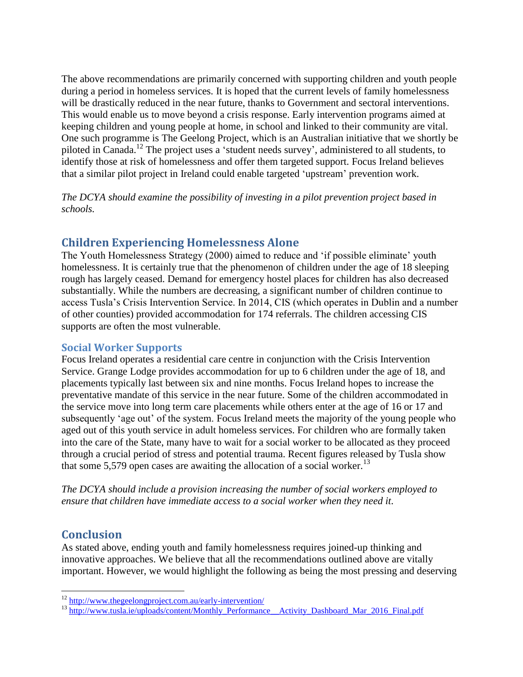The above recommendations are primarily concerned with supporting children and youth people during a period in homeless services. It is hoped that the current levels of family homelessness will be drastically reduced in the near future, thanks to Government and sectoral interventions. This would enable us to move beyond a crisis response. Early intervention programs aimed at keeping children and young people at home, in school and linked to their community are vital. One such programme is The Geelong Project, which is an Australian initiative that we shortly be piloted in Canada.<sup>12</sup> The project uses a 'student needs survey', administered to all students, to identify those at risk of homelessness and offer them targeted support. Focus Ireland believes that a similar pilot project in Ireland could enable targeted 'upstream' prevention work.

*The DCYA should examine the possibility of investing in a pilot prevention project based in schools.* 

# **Children Experiencing Homelessness Alone**

The Youth Homelessness Strategy (2000) aimed to reduce and 'if possible eliminate' youth homelessness. It is certainly true that the phenomenon of children under the age of 18 sleeping rough has largely ceased. Demand for emergency hostel places for children has also decreased substantially. While the numbers are decreasing, a significant number of children continue to access Tusla's Crisis Intervention Service. In 2014, CIS (which operates in Dublin and a number of other counties) provided accommodation for 174 referrals. The children accessing CIS supports are often the most vulnerable.

#### **Social Worker Supports**

Focus Ireland operates a residential care centre in conjunction with the Crisis Intervention Service. Grange Lodge provides accommodation for up to 6 children under the age of 18, and placements typically last between six and nine months. Focus Ireland hopes to increase the preventative mandate of this service in the near future. Some of the children accommodated in the service move into long term care placements while others enter at the age of 16 or 17 and subsequently 'age out' of the system. Focus Ireland meets the majority of the young people who aged out of this youth service in adult homeless services. For children who are formally taken into the care of the State, many have to wait for a social worker to be allocated as they proceed through a crucial period of stress and potential trauma. Recent figures released by Tusla show that some 5,579 open cases are awaiting the allocation of a social worker.<sup>13</sup>

*The DCYA should include a provision increasing the number of social workers employed to ensure that children have immediate access to a social worker when they need it.*

# **Conclusion**

 $\overline{a}$ 

As stated above, ending youth and family homelessness requires joined-up thinking and innovative approaches. We believe that all the recommendations outlined above are vitally important. However, we would highlight the following as being the most pressing and deserving

<sup>&</sup>lt;sup>12</sup> <http://www.thegeelongproject.com.au/early-intervention/>

<sup>&</sup>lt;sup>13</sup> http://www.tusla.ie/uploads/content/Monthly\_Performance\_Activity\_Dashboard\_Mar\_2016\_Final.pdf